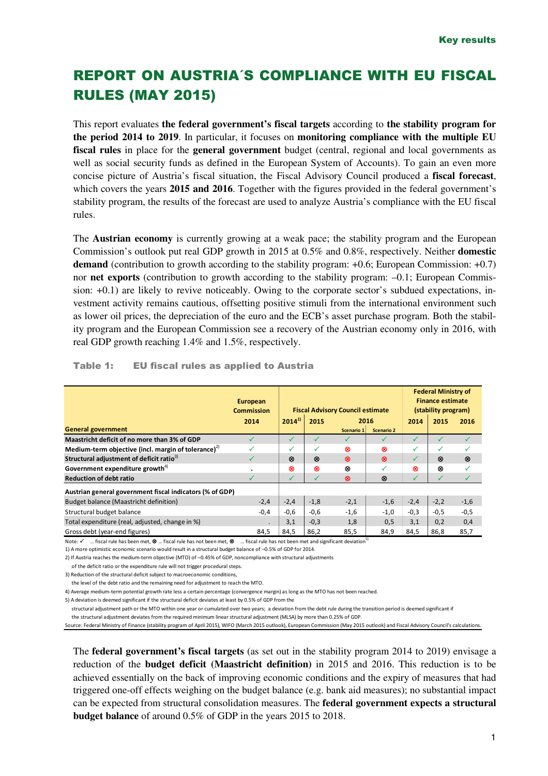# REPORT ON AUSTRIA´S COMPLIANCE WITH EU FISCAL RULES (MAY 2015)

This report evaluates **the federal government's fiscal targets** according to **the stability program for the period 2014 to 2019**. In particular, it focuses on **monitoring compliance with the multiple EU fiscal rules** in place for the **general government** budget (central, regional and local governments as well as social security funds as defined in the European System of Accounts). To gain an even more concise picture of Austria's fiscal situation, the Fiscal Advisory Council produced a **fiscal forecast**, which covers the years **2015 and 2016**. Together with the figures provided in the federal government's stability program, the results of the forecast are used to analyze Austria's compliance with the EU fiscal rules.

The **Austrian economy** is currently growing at a weak pace; the stability program and the European Commission's outlook put real GDP growth in 2015 at 0.5% and 0.8%, respectively. Neither **domestic demand** (contribution to growth according to the stability program: +0.6; European Commission: +0.7) nor **net exports** (contribution to growth according to the stability program:  $-0.1$ ; European Commission: +0.1) are likely to revive noticeably. Owing to the corporate sector's subdued expectations, investment activity remains cautious, offsetting positive stimuli from the international environment such as lower oil prices, the depreciation of the euro and the ECB's asset purchase program. Both the stability program and the European Commission see a recovery of the Austrian economy only in 2016, with real GDP growth reaching 1.4% and 1.5%, respectively.

|                                                          | <b>European</b><br><b>Commission</b> | <b>Fiscal Advisory Council estimate</b> |              |            |            | <b>Federal Ministry of</b><br><b>Finance estimate</b><br>(stability program) |        |        |
|----------------------------------------------------------|--------------------------------------|-----------------------------------------|--------------|------------|------------|------------------------------------------------------------------------------|--------|--------|
|                                                          | 2014                                 | $2014^{1}$                              | 2015<br>2016 |            |            | 2014                                                                         | 2015   | 2016   |
| <b>General government</b>                                |                                      |                                         |              | Scenario 1 | Scenario 2 |                                                                              |        |        |
| Maastricht deficit of no more than 3% of GDP             |                                      | ✓                                       |              | ✓          |            | ✓                                                                            |        |        |
| Medium-term objective (incl. margin of tolerance) $^{2}$ | ✓                                    | ✓                                       | ✓            | ⊗          | ⊗          | ✓                                                                            | ✓      |        |
| Structural adjustment of deficit ratio <sup>3)</sup>     |                                      | 0                                       | ⊗            | ⊗          | ⊗          | ✓                                                                            | ⊗      | ⊗      |
| Government expenditure growth $4$ <sup>4)</sup>          |                                      | ⊗                                       | ⊗            | ⊗          | ✓          | ⊗                                                                            | ⊗      |        |
| <b>Reduction of debt ratio</b>                           |                                      | ✓                                       | ✓            | ⊗          | ⊗          | ✓                                                                            | ✓      | ✓      |
| Austrian general government fiscal indicators (% of GDP) |                                      |                                         |              |            |            |                                                                              |        |        |
| Budget balance (Maastricht definition)                   | $-2,4$                               | $-2,4$                                  | $-1,8$       | $-2,1$     | $-1,6$     | $-2,4$                                                                       | $-2,2$ | $-1,6$ |
| Structural budget balance                                | $-0,4$                               | $-0,6$                                  | $-0,6$       | $-1,6$     | $-1,0$     | $-0,3$                                                                       | $-0,5$ | $-0,5$ |
| Total expenditure (real, adjusted, change in %)          |                                      | 3,1                                     | $-0,3$       | 1,8        | 0,5        | 3,1                                                                          | 0,2    | 0,4    |
| Gross debt (year-end figures)                            | 84,5                                 | 84,5                                    | 86,2         | 85,5       | 84,9       | 84,5                                                                         | 86,8   | 85,7   |

#### Table 1: EU fiscal rules as applied to Austria

Note:  $\checkmark$  ... fiscal rule has been met,  $\otimes$  ... fiscal rule has not been met,  $\otimes$  .... fiscal rule has not been met and significant deviation<sup>5)</sup>

1) A more optimistic economic scenario would result in a structural budget balance of –0.5% of GDP for 2014.

2) If Austria reaches the medium-term objective (MTO) of –0.45% of GDP, noncompliance with structural adjustments

of the deficit ratio or the expenditure rule will not trigger procedural steps.

3) Reduction of the structural deficit subject to macroeconomic conditions,

the level of the debt ratio and the remaining need for adjustment to reach the MTO.

4) Average medium-term potential growth rate less a certain percentage (convergence margin) as long as the MTO has not been reached.

5) A deviation is deemed significant if the structural deficit deviates at least by 0.5% of GDP from the

structural adjustment path or the MTO within one year or cumulated over two years; a deviation from the debt rule during the transition period is deemed significant if

the structural adjustment deviates from the required minimum linear structural adjustment (MLSA) by more than 0.25% of GDP.

Source: Federal Ministry of Finance (stability program of April 2015), WIFO (March 2015 outlook), European Commission (May 2015 outlook) and Fiscal Advisory Council's calculations.

The **federal government's fiscal targets** (as set out in the stability program 2014 to 2019) envisage a reduction of the **budget deficit (Maastricht definition)** in 2015 and 2016. This reduction is to be achieved essentially on the back of improving economic conditions and the expiry of measures that had triggered one-off effects weighing on the budget balance (e.g. bank aid measures); no substantial impact can be expected from structural consolidation measures. The **federal government expects a structural budget balance** of around 0.5% of GDP in the years 2015 to 2018.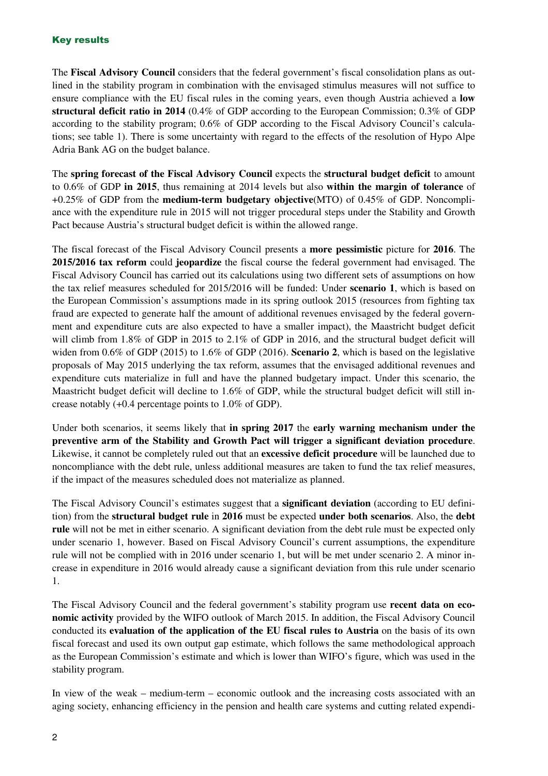#### Key results

The **Fiscal Advisory Council** considers that the federal government's fiscal consolidation plans as outlined in the stability program in combination with the envisaged stimulus measures will not suffice to ensure compliance with the EU fiscal rules in the coming years, even though Austria achieved a **low structural deficit ratio in 2014** (0.4% of GDP according to the European Commission; 0.3% of GDP according to the stability program; 0.6% of GDP according to the Fiscal Advisory Council's calculations; see table 1). There is some uncertainty with regard to the effects of the resolution of Hypo Alpe Adria Bank AG on the budget balance.

The **spring forecast of the Fiscal Advisory Council** expects the **structural budget deficit** to amount to 0.6% of GDP **in 2015**, thus remaining at 2014 levels but also **within the margin of tolerance** of +0.25% of GDP from the **medium-term budgetary objective**(MTO) of 0.45% of GDP. Noncompliance with the expenditure rule in 2015 will not trigger procedural steps under the Stability and Growth Pact because Austria's structural budget deficit is within the allowed range.

The fiscal forecast of the Fiscal Advisory Council presents a **more pessimistic** picture for **2016**. The **2015/2016 tax reform** could **jeopardize** the fiscal course the federal government had envisaged. The Fiscal Advisory Council has carried out its calculations using two different sets of assumptions on how the tax relief measures scheduled for 2015/2016 will be funded: Under **scenario 1**, which is based on the European Commission's assumptions made in its spring outlook 2015 (resources from fighting tax fraud are expected to generate half the amount of additional revenues envisaged by the federal government and expenditure cuts are also expected to have a smaller impact), the Maastricht budget deficit will climb from 1.8% of GDP in 2015 to 2.1% of GDP in 2016, and the structural budget deficit will widen from 0.6% of GDP (2015) to 1.6% of GDP (2016). **Scenario 2**, which is based on the legislative proposals of May 2015 underlying the tax reform, assumes that the envisaged additional revenues and expenditure cuts materialize in full and have the planned budgetary impact. Under this scenario, the Maastricht budget deficit will decline to 1.6% of GDP, while the structural budget deficit will still increase notably (+0.4 percentage points to 1.0% of GDP).

Under both scenarios, it seems likely that **in spring 2017** the **early warning mechanism under the preventive arm of the Stability and Growth Pact will trigger a significant deviation procedure**. Likewise, it cannot be completely ruled out that an **excessive deficit procedure** will be launched due to noncompliance with the debt rule, unless additional measures are taken to fund the tax relief measures, if the impact of the measures scheduled does not materialize as planned.

The Fiscal Advisory Council's estimates suggest that a **significant deviation** (according to EU definition) from the **structural budget rule** in **2016** must be expected **under both scenarios**. Also, the **debt rule** will not be met in either scenario. A significant deviation from the debt rule must be expected only under scenario 1, however. Based on Fiscal Advisory Council's current assumptions, the expenditure rule will not be complied with in 2016 under scenario 1, but will be met under scenario 2. A minor increase in expenditure in 2016 would already cause a significant deviation from this rule under scenario 1.

The Fiscal Advisory Council and the federal government's stability program use **recent data on economic activity** provided by the WIFO outlook of March 2015. In addition, the Fiscal Advisory Council conducted its **evaluation of the application of the EU fiscal rules to Austria** on the basis of its own fiscal forecast and used its own output gap estimate, which follows the same methodological approach as the European Commission's estimate and which is lower than WIFO's figure, which was used in the stability program.

In view of the weak – medium-term – economic outlook and the increasing costs associated with an aging society, enhancing efficiency in the pension and health care systems and cutting related expendi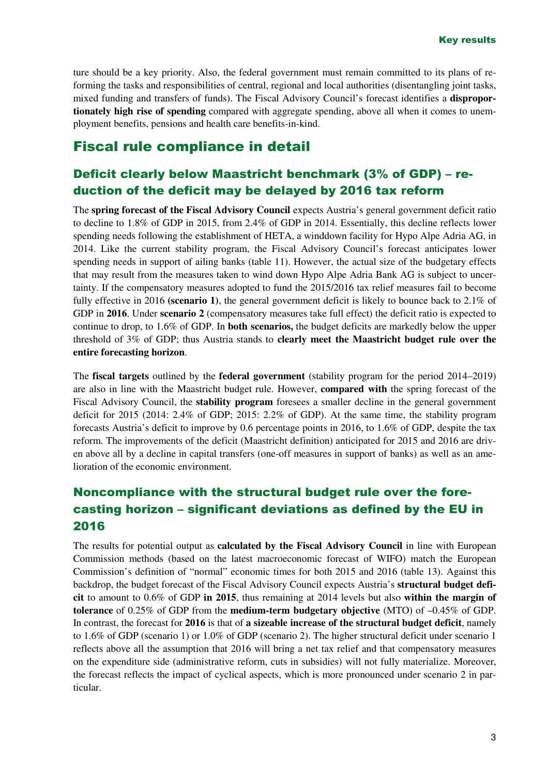ture should be a key priority. Also, the federal government must remain committed to its plans of reforming the tasks and responsibilities of central, regional and local authorities (disentangling joint tasks, mixed funding and transfers of funds). The Fiscal Advisory Council's forecast identifies a **disproportionately high rise of spending** compared with aggregate spending, above all when it comes to unemployment benefits, pensions and health care benefits-in-kind.

# Fiscal rule compliance in detail

## Deficit clearly below Maastricht benchmark (3% of GDP) – reduction of the deficit may be delayed by 2016 tax reform

The **spring forecast of the Fiscal Advisory Council** expects Austria's general government deficit ratio to decline to 1.8% of GDP in 2015, from 2.4% of GDP in 2014. Essentially, this decline reflects lower spending needs following the establishment of HETA, a winddown facility for Hypo Alpe Adria AG, in 2014. Like the current stability program, the Fiscal Advisory Council's forecast anticipates lower spending needs in support of ailing banks (table 11). However, the actual size of the budgetary effects that may result from the measures taken to wind down Hypo Alpe Adria Bank AG is subject to uncertainty. If the compensatory measures adopted to fund the 2015/2016 tax relief measures fail to become fully effective in 2016 **(scenario 1)**, the general government deficit is likely to bounce back to 2.1% of GDP in **2016**. Under **scenario 2** (compensatory measures take full effect) the deficit ratio is expected to continue to drop, to 1.6% of GDP. In **both scenarios,** the budget deficits are markedly below the upper threshold of 3% of GDP; thus Austria stands to **clearly meet the Maastricht budget rule over the entire forecasting horizon**.

The **fiscal targets** outlined by the **federal government** (stability program for the period 2014–2019) are also in line with the Maastricht budget rule. However, **compared with** the spring forecast of the Fiscal Advisory Council, the **stability program** foresees a smaller decline in the general government deficit for 2015 (2014: 2.4% of GDP; 2015: 2.2% of GDP). At the same time, the stability program forecasts Austria's deficit to improve by 0.6 percentage points in 2016, to 1.6% of GDP, despite the tax reform. The improvements of the deficit (Maastricht definition) anticipated for 2015 and 2016 are driven above all by a decline in capital transfers (one-off measures in support of banks) as well as an amelioration of the economic environment.

# Noncompliance with the structural budget rule over the forecasting horizon – significant deviations as defined by the EU in 2016

The results for potential output as **calculated by the Fiscal Advisory Council** in line with European Commission methods (based on the latest macroeconomic forecast of WIFO) match the European Commission's definition of "normal" economic times for both 2015 and 2016 (table 13). Against this backdrop, the budget forecast of the Fiscal Advisory Council expects Austria's **structural budget deficit** to amount to 0.6% of GDP **in 2015**, thus remaining at 2014 levels but also **within the margin of tolerance** of 0.25% of GDP from the **medium-term budgetary objective** (MTO) of –0.45% of GDP. In contrast, the forecast for **2016** is that of **a sizeable increase of the structural budget deficit**, namely to 1.6% of GDP (scenario 1) or 1.0% of GDP (scenario 2). The higher structural deficit under scenario 1 reflects above all the assumption that 2016 will bring a net tax relief and that compensatory measures on the expenditure side (administrative reform, cuts in subsidies) will not fully materialize. Moreover, the forecast reflects the impact of cyclical aspects, which is more pronounced under scenario 2 in particular.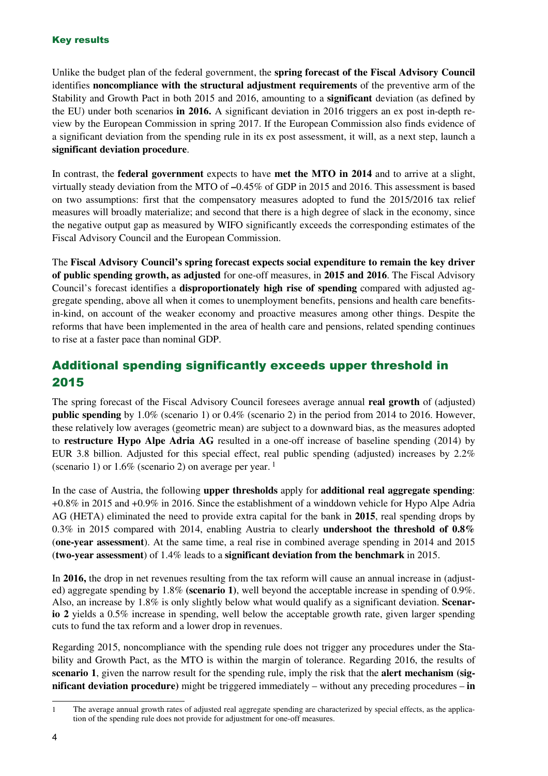#### Key results

Unlike the budget plan of the federal government, the **spring forecast of the Fiscal Advisory Council**  identifies **noncompliance with the structural adjustment requirements** of the preventive arm of the Stability and Growth Pact in both 2015 and 2016, amounting to a **significant** deviation (as defined by the EU) under both scenarios **in 2016.** A significant deviation in 2016 triggers an ex post in-depth review by the European Commission in spring 2017. If the European Commission also finds evidence of a significant deviation from the spending rule in its ex post assessment, it will, as a next step, launch a **significant deviation procedure**.

In contrast, the **federal government** expects to have **met the MTO in 2014** and to arrive at a slight, virtually steady deviation from the MTO of **–**0.45% of GDP in 2015 and 2016. This assessment is based on two assumptions: first that the compensatory measures adopted to fund the 2015/2016 tax relief measures will broadly materialize; and second that there is a high degree of slack in the economy, since the negative output gap as measured by WIFO significantly exceeds the corresponding estimates of the Fiscal Advisory Council and the European Commission.

The **Fiscal Advisory Council's spring forecast expects social expenditure to remain the key driver of public spending growth, as adjusted** for one-off measures, in **2015 and 2016**. The Fiscal Advisory Council's forecast identifies a **disproportionately high rise of spending** compared with adjusted aggregate spending, above all when it comes to unemployment benefits, pensions and health care benefitsin-kind, on account of the weaker economy and proactive measures among other things. Despite the reforms that have been implemented in the area of health care and pensions, related spending continues to rise at a faster pace than nominal GDP.

## Additional spending significantly exceeds upper threshold in 2015

The spring forecast of the Fiscal Advisory Council foresees average annual **real growth** of (adjusted) **public spending** by 1.0% (scenario 1) or 0.4% (scenario 2) in the period from 2014 to 2016. However, these relatively low averages (geometric mean) are subject to a downward bias, as the measures adopted to **restructure Hypo Alpe Adria AG** resulted in a one-off increase of baseline spending (2014) by EUR 3.8 billion. Adjusted for this special effect, real public spending (adjusted) increases by 2.2% (scenario 1) or  $1.6\%$  (scenario 2) on average per year.<sup>1</sup>

In the case of Austria, the following **upper thresholds** apply for **additional real aggregate spending**: +0.8% in 2015 and +0.9% in 2016. Since the establishment of a winddown vehicle for Hypo Alpe Adria AG (HETA) eliminated the need to provide extra capital for the bank in **2015**, real spending drops by 0.3% in 2015 compared with 2014, enabling Austria to clearly **undershoot the threshold of 0.8%**  (**one-year assessment**). At the same time, a real rise in combined average spending in 2014 and 2015 (**two-year assessment**) of 1.4% leads to a **significant deviation from the benchmark** in 2015.

In **2016,** the drop in net revenues resulting from the tax reform will cause an annual increase in (adjusted) aggregate spending by 1.8% **(scenario 1)**, well beyond the acceptable increase in spending of 0.9%. Also, an increase by 1.8% is only slightly below what would qualify as a significant deviation. **Scenario 2** yields a 0.5% increase in spending, well below the acceptable growth rate, given larger spending cuts to fund the tax reform and a lower drop in revenues.

Regarding 2015, noncompliance with the spending rule does not trigger any procedures under the Stability and Growth Pact, as the MTO is within the margin of tolerance. Regarding 2016, the results of **scenario 1**, given the narrow result for the spending rule, imply the risk that the **alert mechanism (significant deviation procedure)** might be triggered immediately – without any preceding procedures – **in** 

<sup>1</sup> The average annual growth rates of adjusted real aggregate spending are characterized by special effects, as the application of the spending rule does not provide for adjustment for one-off measures.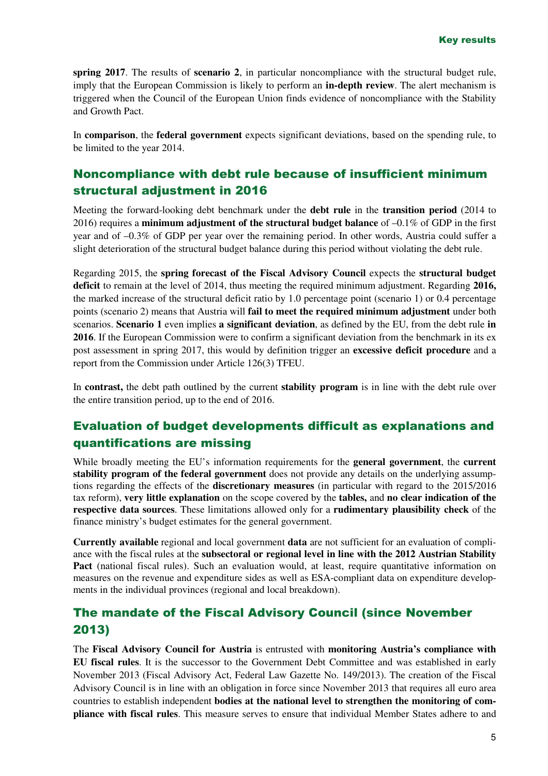**spring 2017**. The results of **scenario 2**, in particular noncompliance with the structural budget rule, imply that the European Commission is likely to perform an **in-depth review**. The alert mechanism is triggered when the Council of the European Union finds evidence of noncompliance with the Stability and Growth Pact.

In **comparison**, the **federal government** expects significant deviations, based on the spending rule, to be limited to the year 2014.

### Noncompliance with debt rule because of insufficient minimum structural adjustment in 2016

Meeting the forward-looking debt benchmark under the **debt rule** in the **transition period** (2014 to 2016) requires a **minimum adjustment of the structural budget balance** of –0.1% of GDP in the first year and of –0.3% of GDP per year over the remaining period. In other words, Austria could suffer a slight deterioration of the structural budget balance during this period without violating the debt rule.

Regarding 2015, the **spring forecast of the Fiscal Advisory Council** expects the **structural budget deficit** to remain at the level of 2014, thus meeting the required minimum adjustment. Regarding **2016,** the marked increase of the structural deficit ratio by 1.0 percentage point (scenario 1) or 0.4 percentage points (scenario 2) means that Austria will **fail to meet the required minimum adjustment** under both scenarios. **Scenario 1** even implies **a significant deviation**, as defined by the EU, from the debt rule **in 2016**. If the European Commission were to confirm a significant deviation from the benchmark in its ex post assessment in spring 2017, this would by definition trigger an **excessive deficit procedure** and a report from the Commission under Article 126(3) TFEU.

In **contrast,** the debt path outlined by the current **stability program** is in line with the debt rule over the entire transition period, up to the end of 2016.

### Evaluation of budget developments difficult as explanations and quantifications are missing

While broadly meeting the EU's information requirements for the **general government**, the **current stability program of the federal government** does not provide any details on the underlying assumptions regarding the effects of the **discretionary measures** (in particular with regard to the 2015/2016 tax reform), **very little explanation** on the scope covered by the **tables,** and **no clear indication of the respective data sources**. These limitations allowed only for a **rudimentary plausibility check** of the finance ministry's budget estimates for the general government.

**Currently available** regional and local government **data** are not sufficient for an evaluation of compliance with the fiscal rules at the **subsectoral or regional level in line with the 2012 Austrian Stability Pact** (national fiscal rules). Such an evaluation would, at least, require quantitative information on measures on the revenue and expenditure sides as well as ESA-compliant data on expenditure developments in the individual provinces (regional and local breakdown).

### The mandate of the Fiscal Advisory Council (since November 2013)

The **Fiscal Advisory Council for Austria** is entrusted with **monitoring Austria's compliance with EU fiscal rules**. It is the successor to the Government Debt Committee and was established in early November 2013 (Fiscal Advisory Act, Federal Law Gazette No. 149/2013). The creation of the Fiscal Advisory Council is in line with an obligation in force since November 2013 that requires all euro area countries to establish independent **bodies at the national level to strengthen the monitoring of compliance with fiscal rules**. This measure serves to ensure that individual Member States adhere to and